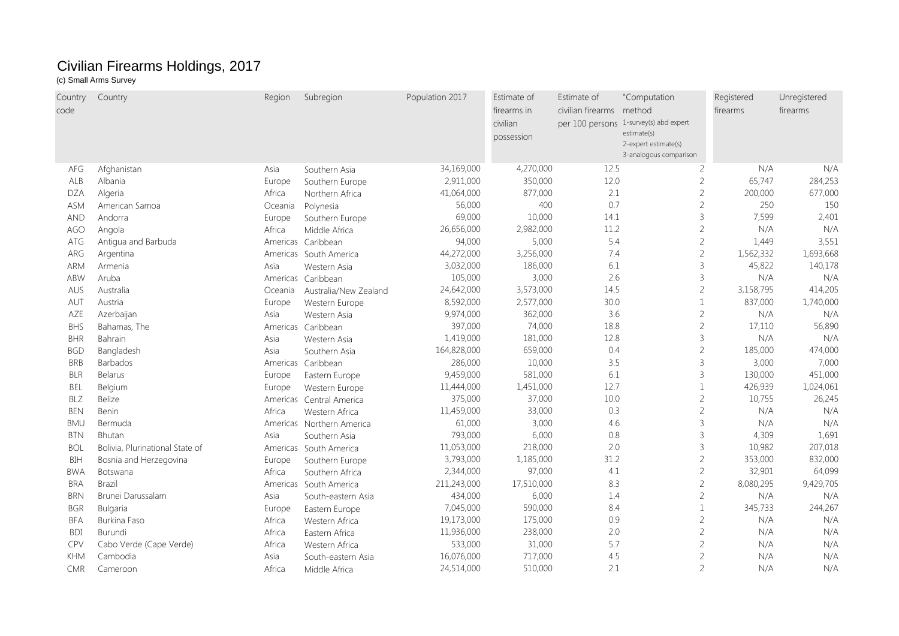## Civilian Firearms Holdings, 2017

## (c) Small Arms Survey

| Country    | Country                         | Region   | Subregion                 | Population 2017 | Estimate of | Estimate of              | "Computation                           | Registered | Unregistered |
|------------|---------------------------------|----------|---------------------------|-----------------|-------------|--------------------------|----------------------------------------|------------|--------------|
| code       |                                 |          |                           |                 | firearms in | civilian firearms method |                                        | firearms   | firearms     |
|            |                                 |          |                           |                 | civilian    |                          | per 100 persons 1-survey(s) abd expert |            |              |
|            |                                 |          |                           |                 | possession  |                          | estimate(s)<br>2-expert estimate(s)    |            |              |
|            |                                 |          |                           |                 |             |                          | 3-analogous comparison                 |            |              |
| AFG        | Afghanistan                     | Asia     | Southern Asia             | 34,169,000      | 4,270,000   | 12.5                     | $\overline{2}$                         | N/A        | N/A          |
| ALB        | Albania                         | Europe   | Southern Europe           | 2,911,000       | 350,000     | 12.0                     | $\overline{2}$                         | 65,747     | 284,253      |
| DZA        | Algeria                         | Africa   | Northern Africa           | 41,064,000      | 877,000     | 2.1                      | $\overline{2}$                         | 200,000    | 677,000      |
| <b>ASM</b> | American Samoa                  | Oceania  | Polynesia                 | 56,000          | 400         | 0.7                      | $\overline{c}$                         | 250        | 150          |
| <b>AND</b> | Andorra                         | Europe   | Southern Europe           | 69,000          | 10,000      | 14.1                     | $\overline{3}$                         | 7,599      | 2,401        |
| AGO        | Angola                          | Africa   | Middle Africa             | 26,656,000      | 2,982,000   | 11.2                     | $\overline{2}$                         | N/A        | N/A          |
| ATG        | Antigua and Barbuda             |          | Americas Caribbean        | 94,000          | 5,000       | 5.4                      | $\overline{2}$                         | 1,449      | 3,551        |
| ARG        | Argentina                       |          | Americas South America    | 44,272,000      | 3,256,000   | 7.4                      | $\overline{2}$                         | 1,562,332  | 1,693,668    |
| ARM        | Armenia                         | Asia     | Western Asia              | 3,032,000       | 186,000     | 6.1                      | $\overline{3}$                         | 45,822     | 140,178      |
| ABW        | Aruba                           |          | Americas Caribbean        | 105,000         | 3,000       | 2.6                      | $\overline{3}$                         | N/A        | N/A          |
| AUS        | Australia                       | Oceania  | Australia/New Zealand     | 24,642,000      | 3,573,000   | 14.5                     | $\overline{2}$                         | 3,158,795  | 414,205      |
| AUT        | Austria                         | Europe   | Western Europe            | 8,592,000       | 2,577,000   | 30.0                     | $\overline{1}$                         | 837,000    | 1,740,000    |
| AZE        | Azerbaijan                      | Asia     | Western Asia              | 9,974,000       | 362,000     | 3.6                      | $\overline{2}$                         | N/A        | N/A          |
| <b>BHS</b> | Bahamas, The                    | Americas | Caribbean                 | 397,000         | 74,000      | 18.8                     | $\overline{2}$                         | 17,110     | 56,890       |
| <b>BHR</b> | Bahrain                         | Asia     | Western Asia              | 1,419,000       | 181,000     | 12.8                     | $\overline{3}$                         | N/A        | N/A          |
| <b>BGD</b> | Bangladesh                      | Asia     | Southern Asia             | 164,828,000     | 659,000     | 0.4                      | $\overline{2}$                         | 185,000    | 474,000      |
| <b>BRB</b> | <b>Barbados</b>                 | Americas | Caribbean                 | 286,000         | 10,000      | 3.5                      | $\mathcal{E}$                          | 3,000      | 7,000        |
| <b>BLR</b> | Belarus                         | Europe   | Eastern Europe            | 9,459,000       | 581,000     | 6.1                      | $\overline{3}$                         | 130,000    | 451,000      |
| <b>BEL</b> | Belgium                         | Europe   | Western Europe            | 11,444,000      | 1,451,000   | 12.7                     | $\mathbf{1}$                           | 426,939    | 1,024,061    |
| <b>BLZ</b> | <b>Belize</b>                   |          | Americas Central America  | 375,000         | 37,000      | 10.0                     | $\overline{2}$                         | 10,755     | 26,245       |
| <b>BEN</b> | <b>Benin</b>                    | Africa   | Western Africa            | 11,459,000      | 33,000      | 0.3                      | $\overline{2}$                         | N/A        | N/A          |
| <b>BMU</b> | Bermuda                         |          | Americas Northern America | 61,000          | 3,000       | 4.6                      | $\overline{3}$                         | N/A        | N/A          |
| <b>BTN</b> | Bhutan                          | Asia     | Southern Asia             | 793,000         | 6,000       | 0.8                      | $\overline{3}$                         | 4,309      | 1,691        |
| <b>BOL</b> | Bolivia, Plurinational State of | Americas | South America             | 11,053,000      | 218,000     | 2.0                      | $\overline{3}$                         | 10,982     | 207,018      |
| BIH        | Bosnia and Herzegovina          | Europe   | Southern Europe           | 3,793,000       | 1,185,000   | 31.2                     | $\sqrt{2}$                             | 353,000    | 832,000      |
| <b>BWA</b> | Botswana                        | Africa   | Southern Africa           | 2,344,000       | 97,000      | 4.1                      | $\overline{c}$                         | 32,901     | 64,099       |
| <b>BRA</b> | <b>Brazil</b>                   | Americas | South America             | 211,243,000     | 17,510,000  | 8.3                      | $\overline{2}$                         | 8,080,295  | 9,429,705    |
| <b>BRN</b> | Brunei Darussalam               | Asia     | South-eastern Asia        | 434,000         | 6,000       | 1.4                      | $\overline{2}$                         | N/A        | N/A          |
| <b>BGR</b> | Bulgaria                        | Europe   | Eastern Europe            | 7,045,000       | 590,000     | 8.4                      | $\mathbf{1}$                           | 345,733    | 244,267      |
| <b>BFA</b> | Burkina Faso                    | Africa   | Western Africa            | 19,173,000      | 175,000     | 0.9                      | $\overline{2}$                         | N/A        | N/A          |
| <b>BDI</b> | Burundi                         | Africa   | Eastern Africa            | 11,936,000      | 238,000     | 2.0                      | $\overline{2}$                         | N/A        | N/A          |
| CPV        | Cabo Verde (Cape Verde)         | Africa   | Western Africa            | 533,000         | 31,000      | 5.7                      | $\overline{2}$                         | N/A        | N/A          |
| <b>KHM</b> | Cambodia                        | Asia     | South-eastern Asia        | 16,076,000      | 717,000     | 4.5                      | $\overline{2}$                         | N/A        | N/A          |
| <b>CMR</b> | Cameroon                        | Africa   | Middle Africa             | 24,514,000      | 510,000     | 2.1                      | $\overline{2}$                         | N/A        | N/A          |
|            |                                 |          |                           |                 |             |                          |                                        |            |              |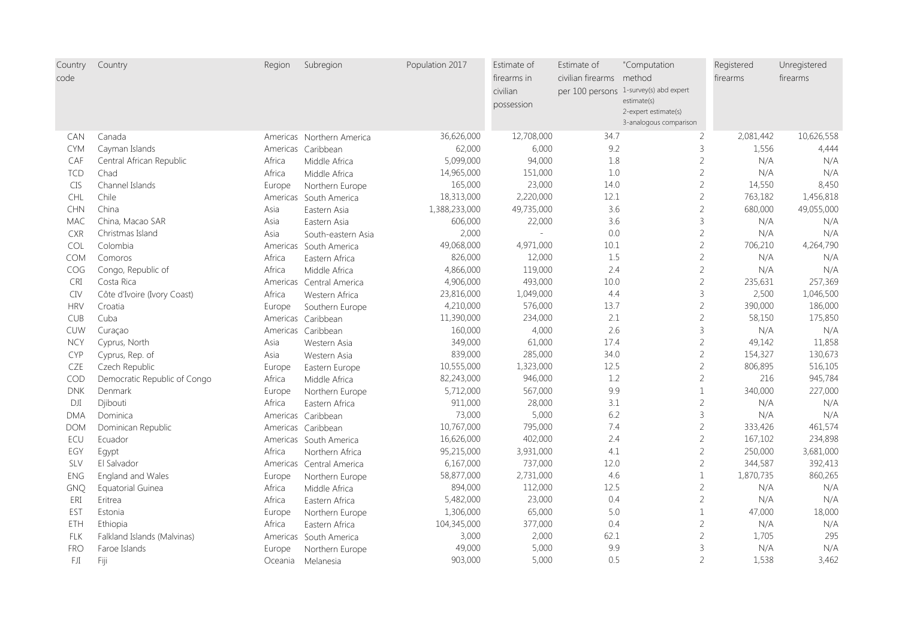| Country<br>code | Country                      | Region   | Subregion                 | Population 2017 | Estimate of<br>firearms in<br>civilian | Estimate of<br>civilian firearms method | "Computation<br>per 100 persons 1-survey(s) abd expert        | Registered<br>firearms | Unregistered<br>firearms |
|-----------------|------------------------------|----------|---------------------------|-----------------|----------------------------------------|-----------------------------------------|---------------------------------------------------------------|------------------------|--------------------------|
|                 |                              |          |                           |                 | possession                             |                                         | estimate(s)<br>2-expert estimate(s)<br>3-analogous comparison |                        |                          |
| <b>CAN</b>      | Canada                       |          | Americas Northern America | 36,626,000      | 12,708,000                             | 34.7                                    | $\overline{2}$                                                | 2,081,442              | 10,626,558               |
| <b>CYM</b>      | Cayman Islands               | Americas | Caribbean                 | 62,000          | 6,000                                  | 9.2                                     | $\mathsf 3$                                                   | 1,556                  | 4,444                    |
| CAF             | Central African Republic     | Africa   | Middle Africa             | 5,099,000       | 94,000                                 | 1.8                                     | $\overline{2}$                                                | N/A                    | N/A                      |
| <b>TCD</b>      | Chad                         | Africa   | Middle Africa             | 14,965,000      | 151,000                                | 1.0                                     | $\sqrt{2}$                                                    | N/A                    | N/A                      |
| <b>CIS</b>      | Channel Islands              | Europe   | Northern Europe           | 165,000         | 23,000                                 | 14.0                                    | $\sqrt{2}$                                                    | 14,550                 | 8,450                    |
| CHL             | Chile                        | Americas | South America             | 18,313,000      | 2,220,000                              | 12.1                                    | $\overline{c}$                                                | 763,182                | 1,456,818                |
| <b>CHN</b>      | China                        | Asia     | Eastern Asia              | 1,388,233,000   | 49,735,000                             | 3.6                                     | $\sqrt{2}$                                                    | 680,000                | 49,055,000               |
| MAC             | China, Macao SAR             | Asia     | Eastern Asia              | 606,000         | 22,000                                 | 3.6                                     | $\mathsf 3$                                                   | N/A                    | N/A                      |
| <b>CXR</b>      | Christmas Island             | Asia     | South-eastern Asia        | 2,000           |                                        | 0.0                                     | $\sqrt{2}$                                                    | N/A                    | N/A                      |
| <b>COL</b>      | Colombia                     | Americas | South America             | 49,068,000      | 4,971,000                              | 10.1                                    | $\overline{2}$                                                | 706,210                | 4,264,790                |
| <b>COM</b>      | Comoros                      | Africa   | Eastern Africa            | 826,000         | 12,000                                 | 1.5                                     | $\sqrt{2}$                                                    | N/A                    | N/A                      |
| <b>COG</b>      | Congo, Republic of           | Africa   | Middle Africa             | 4,866,000       | 119,000                                | 2.4                                     | $\overline{2}$                                                | N/A                    | N/A                      |
| CRI             | Costa Rica                   | Americas | Central America           | 4,906,000       | 493,000                                | 10.0                                    | $\sqrt{2}$                                                    | 235,631                | 257,369                  |
| <b>CIV</b>      | Côte d'Ivoire (Ivory Coast)  | Africa   | Western Africa            | 23,816,000      | 1,049,000                              | 4.4                                     | $\overline{3}$                                                | 2,500                  | 1,046,500                |
| <b>HRV</b>      | Croatia                      | Europe   | Southern Europe           | 4,210,000       | 576,000                                | 13.7                                    | $\sqrt{2}$                                                    | 390,000                | 186,000                  |
| <b>CUB</b>      | Cuba                         |          | Americas Caribbean        | 11,390,000      | 234,000                                | 2.1                                     | $\sqrt{2}$                                                    | 58,150                 | 175,850                  |
| CUW             | Curaçao                      | Americas | Caribbean                 | 160,000         | 4,000                                  | 2.6                                     | $\mathsf 3$                                                   | N/A                    | N/A                      |
| <b>NCY</b>      | Cyprus, North                | Asia     | Western Asia              | 349,000         | 61,000                                 | 17.4                                    | $\sqrt{2}$                                                    | 49,142                 | 11,858                   |
| CYP             | Cyprus, Rep. of              | Asia     | Western Asia              | 839,000         | 285,000                                | 34.0                                    | $\overline{2}$                                                | 154,327                | 130,673                  |
| CZE             | Czech Republic               | Europe   | Eastern Europe            | 10,555,000      | 1,323,000                              | 12.5                                    | $\sqrt{2}$                                                    | 806,895                | 516,105                  |
| COD             | Democratic Republic of Congo | Africa   | Middle Africa             | 82,243,000      | 946,000                                | 1.2                                     | $\overline{2}$                                                | 216                    | 945,784                  |
| <b>DNK</b>      | Denmark                      | Europe   | Northern Europe           | 5,712,000       | 567,000                                | 9.9                                     | $\mathbf{1}$                                                  | 340,000                | 227,000                  |
| DJI             | Djibouti                     | Africa   | Eastern Africa            | 911,000         | 28,000                                 | 3.1                                     | $\sqrt{2}$                                                    | N/A                    | N/A                      |
| <b>DMA</b>      | Dominica                     |          | Americas Caribbean        | 73,000          | 5,000                                  | 6.2                                     | $\overline{3}$                                                | N/A                    | N/A                      |
| <b>DOM</b>      | Dominican Republic           |          | Americas Caribbean        | 10,767,000      | 795,000                                | 7.4                                     | $\overline{2}$                                                | 333,426                | 461,574                  |
| ECU             | Ecuador                      |          | Americas South America    | 16,626,000      | 402,000                                | 2.4                                     | $\overline{2}$                                                | 167,102                | 234,898                  |
| EGY             | Egypt                        | Africa   | Northern Africa           | 95,215,000      | 3,931,000                              | 4.1                                     | $\sqrt{2}$                                                    | 250,000                | 3,681,000                |
| <b>SLV</b>      | El Salvador                  |          | Americas Central America  | 6,167,000       | 737,000                                | 12.0                                    | $\overline{2}$                                                | 344,587                | 392,413                  |
| <b>ENG</b>      | England and Wales            | Europe   | Northern Europe           | 58,877,000      | 2,731,000                              | 4.6                                     | $\mathbf{1}$                                                  | 1,870,735              | 860,265                  |
| GNQ             | Equatorial Guinea            | Africa   | Middle Africa             | 894,000         | 112,000                                | 12.5                                    | $\overline{2}$                                                | N/A                    | N/A                      |
| ERI             | Eritrea                      | Africa   | Eastern Africa            | 5,482,000       | 23,000                                 | 0.4                                     | $\sqrt{2}$                                                    | N/A                    | N/A                      |
| EST             | Estonia                      | Europe   | Northern Europe           | 1,306,000       | 65,000                                 | 5.0                                     | $\mathbf{1}$                                                  | 47,000                 | 18,000                   |
| ETH             | Ethiopia                     | Africa   | Eastern Africa            | 104,345,000     | 377,000                                | 0.4                                     | $\overline{2}$                                                | N/A                    | N/A                      |
| <b>FLK</b>      | Falkland Islands (Malvinas)  |          | Americas South America    | 3,000           | 2,000                                  | 62.1                                    | $\sqrt{2}$                                                    | 1,705                  | 295                      |
| <b>FRO</b>      | Faroe Islands                | Europe   | Northern Europe           | 49,000          | 5,000                                  | 9.9                                     | $\mathsf 3$                                                   | N/A                    | N/A                      |
| FJI             | Fiji                         | Oceania  | Melanesia                 | 903,000         | 5,000                                  | 0.5                                     | $\overline{2}$                                                | 1,538                  | 3,462                    |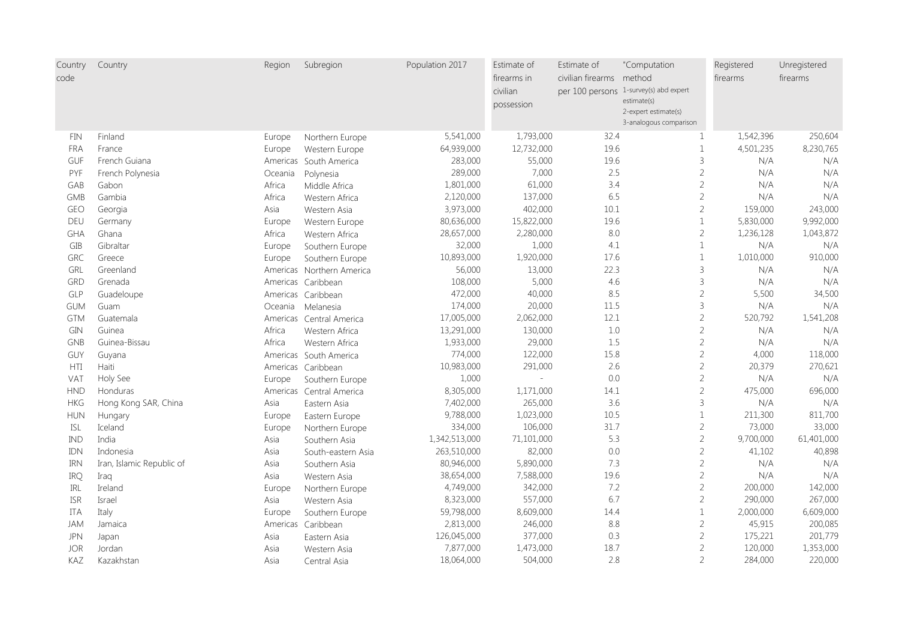| Country<br>code | Country                   | Region   | Subregion                 | Population 2017 | Estimate of<br>firearms in<br>civilian<br>possession | Estimate of<br>civilian firearms method | "Computation<br>per 100 persons 1-survey(s) abd expert<br>estimate(s)<br>2-expert estimate(s) | Registered<br>firearms | Unregistered<br>firearms |
|-----------------|---------------------------|----------|---------------------------|-----------------|------------------------------------------------------|-----------------------------------------|-----------------------------------------------------------------------------------------------|------------------------|--------------------------|
|                 |                           |          |                           |                 |                                                      |                                         | 3-analogous comparison                                                                        |                        |                          |
| FIN             | Finland                   | Europe   | Northern Europe           | 5,541,000       | 1,793,000                                            | 32.4                                    | $\mathbf{1}$                                                                                  | 1,542,396              | 250,604                  |
| <b>FRA</b>      | France                    | Europe   | Western Europe            | 64,939,000      | 12,732,000                                           | 19.6                                    | $\mathbf{1}$                                                                                  | 4,501,235              | 8,230,765                |
| GUF             | French Guiana             | Americas | South America             | 283,000         | 55,000                                               | 19.6                                    | 3                                                                                             | N/A                    | N/A                      |
| PYF             | French Polynesia          | Oceania  | Polynesia                 | 289,000         | 7,000                                                | 2.5                                     | $\overline{c}$                                                                                | N/A                    | N/A                      |
| GAB             | Gabon                     | Africa   | Middle Africa             | 1,801,000       | 61,000                                               | 3.4                                     | $\sqrt{2}$                                                                                    | N/A                    | N/A                      |
| <b>GMB</b>      | Gambia                    | Africa   | Western Africa            | 2,120,000       | 137,000                                              | 6.5                                     | $\overline{2}$                                                                                | N/A                    | N/A                      |
| <b>GEO</b>      | Georgia                   | Asia     | Western Asia              | 3,973,000       | 402,000                                              | 10.1                                    | $\overline{c}$                                                                                | 159,000                | 243,000                  |
| DEU             | Germany                   | Europe   | Western Europe            | 80,636,000      | 15,822,000                                           | 19.6                                    | $\mathbf{1}$                                                                                  | 5,830,000              | 9,992,000                |
| GHA             | Ghana                     | Africa   | Western Africa            | 28,657,000      | 2,280,000                                            | 8.0                                     | $\overline{c}$                                                                                | 1,236,128              | 1,043,872                |
| GIB             | Gibraltar                 | Europe   | Southern Europe           | 32,000          | 1,000                                                | 4.1                                     | $\mathbf{1}$                                                                                  | N/A                    | N/A                      |
| GRC             | Greece                    | Europe   | Southern Europe           | 10,893,000      | 1,920,000                                            | 17.6                                    | $\mathbf{1}$                                                                                  | 1,010,000              | 910,000                  |
| GRL             | Greenland                 |          | Americas Northern America | 56,000          | 13,000                                               | 22.3                                    | $\overline{3}$                                                                                | N/A                    | N/A                      |
| <b>GRD</b>      | Grenada                   |          | Americas Caribbean        | 108,000         | 5,000                                                | 4.6                                     | 3                                                                                             | N/A                    | N/A                      |
| GLP             | Guadeloupe                |          | Americas Caribbean        | 472,000         | 40,000                                               | 8.5                                     | $\overline{c}$                                                                                | 5,500                  | 34,500                   |
| <b>GUM</b>      | Guam                      | Oceania  | Melanesia                 | 174,000         | 20,000                                               | 11.5                                    | $\overline{3}$                                                                                | N/A                    | N/A                      |
| <b>GTM</b>      | Guatemala                 | Americas | Central America           | 17,005,000      | 2,062,000                                            | 12.1                                    | $\sqrt{2}$                                                                                    | 520,792                | 1,541,208                |
| GIN             | Guinea                    | Africa   | Western Africa            | 13,291,000      | 130,000                                              | $1.0$                                   | $\overline{2}$                                                                                | N/A                    | N/A                      |
| <b>GNB</b>      | Guinea-Bissau             | Africa   | Western Africa            | 1,933,000       | 29,000                                               | 1.5                                     | $\overline{c}$                                                                                | N/A                    | N/A                      |
| GUY             | Guyana                    | Americas | South America             | 774,000         | 122,000                                              | 15.8                                    | $\overline{c}$                                                                                | 4,000                  | 118,000                  |
| HTI             | Haiti                     |          | Americas Caribbean        | 10,983,000      | 291,000                                              | 2.6                                     | $\sqrt{2}$                                                                                    | 20,379                 | 270,621                  |
| VAT             | Holy See                  | Europe   | Southern Europe           | 1,000           |                                                      | 0.0                                     | $\overline{c}$                                                                                | N/A                    | N/A                      |
| <b>HND</b>      | Honduras                  | Americas | Central America           | 8,305,000       | 1,171,000                                            | 14.1                                    | $\sqrt{2}$                                                                                    | 475,000                | 696,000                  |
| <b>HKG</b>      | Hong Kong SAR, China      | Asia     | Eastern Asia              | 7,402,000       | 265,000                                              | 3.6                                     | $\overline{3}$                                                                                | N/A                    | N/A                      |
| <b>HUN</b>      | Hungary                   | Europe   | Eastern Europe            | 9,788,000       | 1,023,000                                            | 10.5                                    | $\mathbf{1}$                                                                                  | 211,300                | 811,700                  |
| <b>ISL</b>      | Iceland                   | Europe   | Northern Europe           | 334,000         | 106,000                                              | 31.7                                    | $\sqrt{2}$                                                                                    | 73,000                 | 33,000                   |
| <b>IND</b>      | India                     | Asia     | Southern Asia             | 1,342,513,000   | 71,101,000                                           | 5.3                                     | $\overline{c}$                                                                                | 9,700,000              | 61,401,000               |
| IDN             | Indonesia                 | Asia     | South-eastern Asia        | 263,510,000     | 82,000                                               | 0.0                                     | $\overline{2}$                                                                                | 41,102                 | 40,898                   |
| <b>IRN</b>      | Iran, Islamic Republic of | Asia     | Southern Asia             | 80,946,000      | 5,890,000                                            | 7.3                                     | $\overline{c}$                                                                                | N/A                    | N/A                      |
| IRQ             | Iraq                      | Asia     | Western Asia              | 38,654,000      | 7,588,000                                            | 19.6                                    | $\sqrt{2}$                                                                                    | N/A                    | N/A                      |
| IRL             | Ireland                   | Europe   | Northern Europe           | 4,749,000       | 342,000                                              | 7.2                                     | $\sqrt{2}$                                                                                    | 200,000                | 142,000                  |
| <b>ISR</b>      | Israel                    | Asia     | Western Asia              | 8,323,000       | 557,000                                              | 6.7                                     | $\overline{2}$                                                                                | 290,000                | 267,000                  |
| ITA             | Italy                     | Europe   | Southern Europe           | 59,798,000      | 8,609,000                                            | 14.4                                    | $\mathbf{1}$                                                                                  | 2,000,000              | 6,609,000                |
| <b>JAM</b>      | Jamaica                   | Americas | Caribbean                 | 2,813,000       | 246,000                                              | 8.8                                     | $\overline{c}$                                                                                | 45,915                 | 200,085                  |
| <b>JPN</b>      | Japan                     | Asia     | Eastern Asia              | 126,045,000     | 377,000                                              | 0.3                                     | $\sqrt{2}$                                                                                    | 175,221                | 201,779                  |
| <b>JOR</b>      | Jordan                    | Asia     | Western Asia              | 7,877,000       | 1,473,000                                            | 18.7                                    | $\sqrt{2}$                                                                                    | 120,000                | 1,353,000                |
| KAZ             | Kazakhstan                | Asia     | Central Asia              | 18,064,000      | 504,000                                              | 2.8                                     | $\overline{2}$                                                                                | 284,000                | 220,000                  |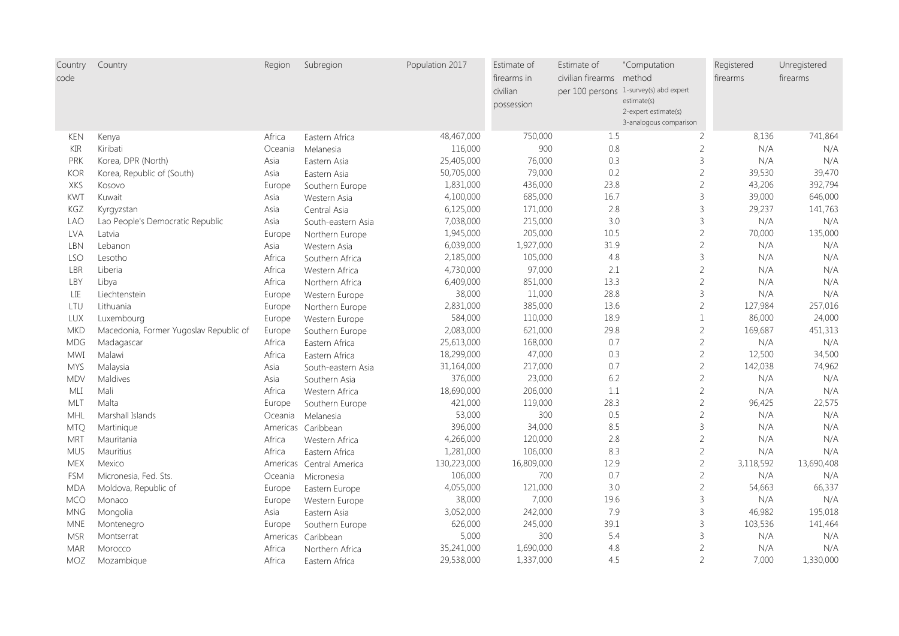| Country<br>code | Country                                | Region   | Subregion                | Population 2017 | Estimate of<br>firearms in<br>civilian<br>possession | Estimate of<br>civilian firearms method | "Computation<br>per 100 persons 1-survey(s) abd expert<br>estimate(s)<br>2-expert estimate(s) | Registered<br>firearms | Unregistered<br>firearms |
|-----------------|----------------------------------------|----------|--------------------------|-----------------|------------------------------------------------------|-----------------------------------------|-----------------------------------------------------------------------------------------------|------------------------|--------------------------|
| <b>KEN</b>      | Kenya                                  | Africa   | Eastern Africa           | 48,467,000      | 750,000                                              | 1.5                                     | 3-analogous comparison<br>$\overline{2}$                                                      | 8,136                  | 741,864                  |
| <b>KIR</b>      | Kiribati                               | Oceania  | Melanesia                | 116,000         | 900                                                  | 0.8                                     | $\overline{2}$                                                                                | N/A                    | N/A                      |
| PRK             | Korea, DPR (North)                     | Asia     | Eastern Asia             | 25,405,000      | 76,000                                               | 0.3                                     | 3                                                                                             | N/A                    | N/A                      |
| <b>KOR</b>      | Korea, Republic of (South)             | Asia     | Eastern Asia             | 50,705,000      | 79,000                                               | 0.2                                     | $\overline{2}$                                                                                | 39,530                 | 39,470                   |
| XKS             | Kosovo                                 | Europe   | Southern Europe          | 1,831,000       | 436,000                                              | 23.8                                    | $\overline{c}$                                                                                | 43,206                 | 392,794                  |
| KWT             | Kuwait                                 | Asia     | Western Asia             | 4,100,000       | 685,000                                              | 16.7                                    | 3                                                                                             | 39,000                 | 646,000                  |
| KGZ             | Kyrgyzstan                             | Asia     | Central Asia             | 6,125,000       | 171,000                                              | 2.8                                     | 3                                                                                             | 29,237                 | 141,763                  |
| <b>LAO</b>      | Lao People's Democratic Republic       | Asia     | South-eastern Asia       | 7,038,000       | 215,000                                              | 3.0                                     | 3                                                                                             | N/A                    | N/A                      |
| <b>LVA</b>      | Latvia                                 | Europe   | Northern Europe          | 1,945,000       | 205,000                                              | 10.5                                    | $\overline{c}$                                                                                | 70,000                 | 135,000                  |
| LBN             | Lebanon                                | Asia     | Western Asia             | 6,039,000       | 1,927,000                                            | 31.9                                    | $\overline{2}$                                                                                | N/A                    | N/A                      |
| LSO             | Lesotho                                | Africa   | Southern Africa          | 2,185,000       | 105,000                                              | 4.8                                     | 3                                                                                             | N/A                    | N/A                      |
| LBR             | Liberia                                | Africa   | Western Africa           | 4,730,000       | 97,000                                               | 2.1                                     | $\overline{2}$                                                                                | N/A                    | N/A                      |
| LBY             | Libya                                  | Africa   | Northern Africa          | 6,409,000       | 851,000                                              | 13.3                                    | $\overline{2}$                                                                                | N/A                    | N/A                      |
| LIE             | Liechtenstein                          | Europe   | Western Europe           | 38,000          | 11,000                                               | 28.8                                    | 3                                                                                             | N/A                    | N/A                      |
| LTU             | Lithuania                              | Europe   | Northern Europe          | 2,831,000       | 385,000                                              | 13.6                                    | $\overline{2}$                                                                                | 127,984                | 257,016                  |
| LUX             | Luxembourg                             | Europe   | Western Europe           | 584,000         | 110,000                                              | 18.9                                    | $\mathbf{1}$                                                                                  | 86,000                 | 24,000                   |
| <b>MKD</b>      | Macedonia, Former Yugoslav Republic of | Europe   | Southern Europe          | 2,083,000       | 621,000                                              | 29.8                                    | $\overline{c}$                                                                                | 169,687                | 451,313                  |
| <b>MDG</b>      | Madagascar                             | Africa   | Eastern Africa           | 25,613,000      | 168,000                                              | 0.7                                     | $\overline{c}$                                                                                | N/A                    | N/A                      |
| <b>MWI</b>      | Malawi                                 | Africa   | Eastern Africa           | 18,299,000      | 47,000                                               | 0.3                                     | $\overline{2}$                                                                                | 12,500                 | 34,500                   |
| <b>MYS</b>      | Malaysia                               | Asia     | South-eastern Asia       | 31,164,000      | 217,000                                              | 0.7                                     | $\overline{2}$                                                                                | 142,038                | 74,962                   |
| <b>MDV</b>      | Maldives                               | Asia     | Southern Asia            | 376,000         | 23,000                                               | 6.2                                     | $\overline{c}$                                                                                | N/A                    | N/A                      |
| MLI             | Mali                                   | Africa   | Western Africa           | 18,690,000      | 206,000                                              | $1.1\,$                                 | $\overline{2}$                                                                                | N/A                    | N/A                      |
| MLT             | Malta                                  | Europe   | Southern Europe          | 421,000         | 119,000                                              | 28.3                                    | $\overline{c}$                                                                                | 96,425                 | 22,575                   |
| MHL             | Marshall Islands                       | Oceania  | Melanesia                | 53,000          | 300                                                  | 0.5                                     | $\overline{2}$                                                                                | N/A                    | N/A                      |
| <b>MTQ</b>      | Martinique                             | Americas | Caribbean                | 396,000         | 34,000                                               | 8.5                                     | 3                                                                                             | N/A                    | N/A                      |
| <b>MRT</b>      | Mauritania                             | Africa   | Western Africa           | 4,266,000       | 120,000                                              | 2.8                                     | $\overline{2}$                                                                                | N/A                    | N/A                      |
| <b>MUS</b>      | Mauritius                              | Africa   | Eastern Africa           | 1,281,000       | 106,000                                              | 8.3                                     | $\overline{2}$                                                                                | N/A                    | N/A                      |
| <b>MEX</b>      | Mexico                                 |          | Americas Central America | 130,223,000     | 16,809,000                                           | 12.9                                    | $\overline{2}$                                                                                | 3,118,592              | 13,690,408               |
| <b>FSM</b>      | Micronesia, Fed. Sts.                  | Oceania  | Micronesia               | 106,000         | 700                                                  | 0.7                                     | $\overline{c}$                                                                                | N/A                    | N/A                      |
| <b>MDA</b>      | Moldova, Republic of                   | Europe   | Eastern Europe           | 4,055,000       | 121,000                                              | 3.0                                     | $\overline{2}$                                                                                | 54,663                 | 66,337                   |
| MCO             | Monaco                                 | Europe   | Western Europe           | 38,000          | 7,000                                                | 19.6                                    | 3                                                                                             | N/A                    | N/A                      |
| <b>MNG</b>      | Mongolia                               | Asia     | Eastern Asia             | 3,052,000       | 242,000                                              | 7.9                                     | 3                                                                                             | 46,982                 | 195,018                  |
| <b>MNE</b>      | Montenegro                             | Europe   | Southern Europe          | 626,000         | 245,000                                              | 39.1                                    | 3                                                                                             | 103,536                | 141,464                  |
| <b>MSR</b>      | Montserrat                             | Americas | Caribbean                | 5,000           | 300                                                  | 5.4                                     | 3                                                                                             | N/A                    | N/A                      |
| <b>MAR</b>      | Morocco                                | Africa   | Northern Africa          | 35,241,000      | 1,690,000                                            | 4.8                                     | $\overline{2}$                                                                                | N/A                    | N/A                      |
| <b>MOZ</b>      | Mozambique                             | Africa   | Eastern Africa           | 29,538,000      | 1,337,000                                            | 4.5                                     | $\overline{2}$                                                                                | 7,000                  | 1,330,000                |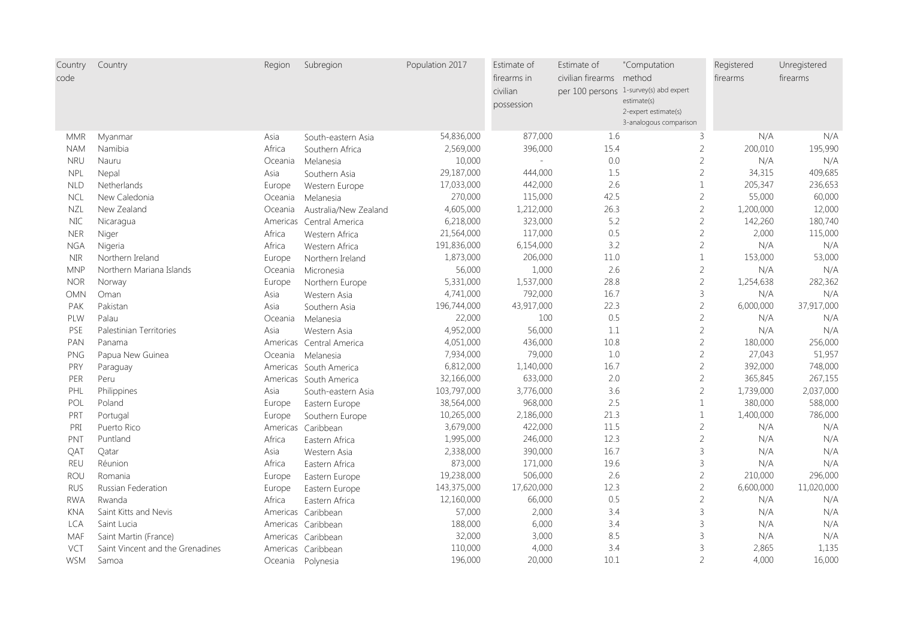| Country<br>code | Country                          | Region   | Subregion                | Population 2017 | Estimate of<br>firearms in<br>civilian<br>possession | Estimate of<br>civilian firearms method | "Computation<br>per 100 persons 1-survey(s) abd expert<br>estimate(s)<br>2-expert estimate(s)<br>3-analogous comparison | Registered<br>firearms | Unregistered<br>firearms |
|-----------------|----------------------------------|----------|--------------------------|-----------------|------------------------------------------------------|-----------------------------------------|-------------------------------------------------------------------------------------------------------------------------|------------------------|--------------------------|
| <b>MMR</b>      | Myanmar                          | Asia     | South-eastern Asia       | 54,836,000      | 877,000                                              | 1.6                                     | 3                                                                                                                       | N/A                    | N/A                      |
| <b>NAM</b>      | Namibia                          | Africa   | Southern Africa          | 2,569,000       | 396,000                                              | 15.4                                    | $\overline{2}$                                                                                                          | 200,010                | 195,990                  |
| <b>NRU</b>      | Nauru                            | Oceania  | Melanesia                | 10,000          |                                                      | 0.0                                     | $\overline{2}$                                                                                                          | N/A                    | N/A                      |
| <b>NPL</b>      | Nepal                            | Asia     | Southern Asia            | 29,187,000      | 444,000                                              | 1.5                                     | $\overline{c}$                                                                                                          | 34,315                 | 409,685                  |
| <b>NLD</b>      | Netherlands                      | Europe   | Western Europe           | 17,033,000      | 442,000                                              | 2.6                                     | $\mathbf{1}$                                                                                                            | 205,347                | 236,653                  |
| <b>NCL</b>      | New Caledonia                    | Oceania  | Melanesia                | 270,000         | 115,000                                              | 42.5                                    | $\overline{2}$                                                                                                          | 55,000                 | 60,000                   |
| <b>NZL</b>      | New Zealand                      | Oceania  | Australia/New Zealand    | 4,605,000       | 1,212,000                                            | 26.3                                    | $\sqrt{2}$                                                                                                              | 1,200,000              | 12,000                   |
| $\rm NIC$       | Nicaragua                        | Americas | Central America          | 6,218,000       | 323,000                                              | 5.2                                     | $\overline{c}$                                                                                                          | 142,260                | 180,740                  |
| <b>NER</b>      | Niger                            | Africa   | Western Africa           | 21,564,000      | 117,000                                              | 0.5                                     | $\overline{c}$                                                                                                          | 2,000                  | 115,000                  |
| <b>NGA</b>      | Nigeria                          | Africa   | Western Africa           | 191,836,000     | 6,154,000                                            | 3.2                                     | $\overline{2}$                                                                                                          | N/A                    | N/A                      |
| <b>NIR</b>      | Northern Ireland                 | Europe   | Northern Ireland         | 1,873,000       | 206,000                                              | 11.0                                    | $\mathbf{1}$                                                                                                            | 153,000                | 53,000                   |
| <b>MNP</b>      | Northern Mariana Islands         | Oceania  | Micronesia               | 56,000          | 1,000                                                | 2.6                                     | $\overline{c}$                                                                                                          | N/A                    | N/A                      |
| <b>NOR</b>      | Norway                           | Europe   | Northern Europe          | 5,331,000       | 1,537,000                                            | 28.8                                    | $\sqrt{2}$                                                                                                              | 1,254,638              | 282,362                  |
| <b>OMN</b>      | Oman                             | Asia     | Western Asia             | 4,741,000       | 792,000                                              | 16.7                                    | $\overline{3}$                                                                                                          | N/A                    | N/A                      |
| PAK             | Pakistan                         | Asia     | Southern Asia            | 196,744,000     | 43,917,000                                           | 22.3                                    | $\sqrt{2}$                                                                                                              | 6,000,000              | 37,917,000               |
| PLW             | Palau                            | Oceania  | Melanesia                | 22,000          | 100                                                  | 0.5                                     | $\sqrt{2}$                                                                                                              | N/A                    | N/A                      |
| PSE             | Palestinian Territories          | Asia     | Western Asia             | 4,952,000       | 56,000                                               | 1.1                                     | $\sqrt{2}$                                                                                                              | N/A                    | N/A                      |
| PAN             | Panama                           |          | Americas Central America | 4,051,000       | 436,000                                              | 10.8                                    | $\overline{c}$                                                                                                          | 180,000                | 256,000                  |
| PNG             | Papua New Guinea                 | Oceania  | Melanesia                | 7,934,000       | 79,000                                               | 1.0                                     | $\overline{2}$                                                                                                          | 27,043                 | 51,957                   |
| PRY             | Paraguay                         |          | Americas South America   | 6,812,000       | 1,140,000                                            | 16.7                                    | $\overline{c}$                                                                                                          | 392,000                | 748,000                  |
| <b>PER</b>      | Peru                             |          | Americas South America   | 32,166,000      | 633,000                                              | 2.0                                     | $\overline{c}$                                                                                                          | 365,845                | 267,155                  |
| PHL             | Philippines                      | Asia     | South-eastern Asia       | 103,797,000     | 3,776,000                                            | 3.6                                     | $\sqrt{2}$                                                                                                              | 1,739,000              | 2,037,000                |
| POL             | Poland                           | Europe   | Eastern Europe           | 38,564,000      | 968,000                                              | 2.5                                     | $1\,$                                                                                                                   | 380,000                | 588,000                  |
| PRT             | Portugal                         | Europe   | Southern Europe          | 10,265,000      | 2,186,000                                            | 21.3                                    | $\mathbf{1}$                                                                                                            | 1,400,000              | 786,000                  |
| PRI             | Puerto Rico                      | Americas | Caribbean                | 3,679,000       | 422,000                                              | 11.5                                    | $\sqrt{2}$                                                                                                              | N/A                    | N/A                      |
| PNT             | Puntland                         | Africa   | Eastern Africa           | 1,995,000       | 246,000                                              | 12.3                                    | $\sqrt{2}$                                                                                                              | N/A                    | N/A                      |
| QAT             | Qatar                            | Asia     | Western Asia             | 2,338,000       | 390,000                                              | 16.7                                    | 3                                                                                                                       | N/A                    | N/A                      |
| <b>REU</b>      | Réunion                          | Africa   | Eastern Africa           | 873,000         | 171,000                                              | 19.6                                    | $\overline{3}$                                                                                                          | N/A                    | N/A                      |
| ROU             | Romania                          | Europe   | Eastern Europe           | 19,238,000      | 506,000                                              | 2.6                                     | $\overline{c}$                                                                                                          | 210,000                | 296,000                  |
| <b>RUS</b>      | Russian Federation               | Europe   | Eastern Europe           | 143,375,000     | 17,620,000                                           | 12.3                                    | $\overline{2}$                                                                                                          | 6,600,000              | 11,020,000               |
| <b>RWA</b>      | Rwanda                           | Africa   | Eastern Africa           | 12,160,000      | 66,000                                               | 0.5                                     | $\overline{c}$                                                                                                          | N/A                    | N/A                      |
| <b>KNA</b>      | Saint Kitts and Nevis            |          | Americas Caribbean       | 57,000          | 2,000                                                | 3.4                                     | 3                                                                                                                       | N/A                    | N/A                      |
| <b>LCA</b>      | Saint Lucia                      |          | Americas Caribbean       | 188,000         | 6,000                                                | 3.4                                     | $\overline{3}$                                                                                                          | N/A                    | N/A                      |
| <b>MAF</b>      | Saint Martin (France)            |          | Americas Caribbean       | 32,000          | 3,000                                                | 8.5                                     | $\overline{3}$                                                                                                          | N/A                    | N/A                      |
| VCT             | Saint Vincent and the Grenadines |          | Americas Caribbean       | 110,000         | 4,000                                                | 3.4                                     | $\overline{3}$                                                                                                          | 2,865                  | 1,135                    |
| <b>WSM</b>      | Samoa                            |          | Oceania Polynesia        | 196,000         | 20,000                                               | 10.1                                    | $\overline{2}$                                                                                                          | 4,000                  | 16,000                   |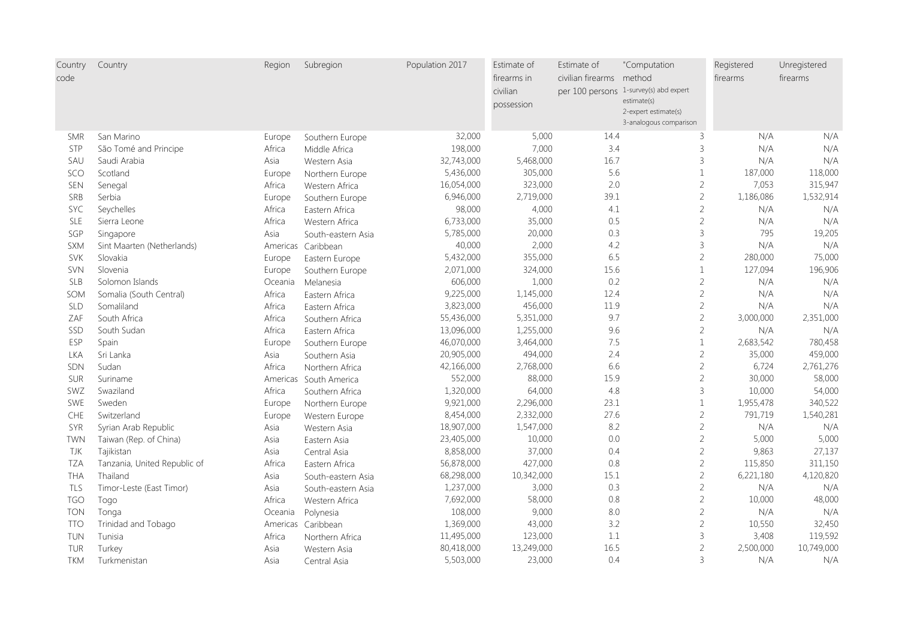| Country    | Country                      | Region   | Subregion          | Population 2017 | Estimate of<br>firearms in | Estimate of<br>civilian firearms method | "Computation                                          | Registered | Unregistered |
|------------|------------------------------|----------|--------------------|-----------------|----------------------------|-----------------------------------------|-------------------------------------------------------|------------|--------------|
| code       |                              |          |                    |                 |                            |                                         |                                                       | firearms   | firearms     |
|            |                              |          |                    |                 | civilian                   |                                         | per 100 persons 1-survey(s) abd expert<br>estimate(s) |            |              |
|            |                              |          |                    |                 | possession                 |                                         | 2-expert estimate(s)                                  |            |              |
|            |                              |          |                    |                 |                            |                                         | 3-analogous comparison                                |            |              |
| <b>SMR</b> | San Marino                   | Europe   | Southern Europe    | 32,000          | 5,000                      | 14.4                                    | 3                                                     | N/A        | N/A          |
| <b>STP</b> | São Tomé and Principe        | Africa   | Middle Africa      | 198,000         | 7,000                      | 3.4                                     | $\overline{3}$                                        | N/A        | N/A          |
| SAU        | Saudi Arabia                 | Asia     | Western Asia       | 32,743,000      | 5,468,000                  | 16.7                                    | 3                                                     | N/A        | N/A          |
| SCO        | Scotland                     | Europe   | Northern Europe    | 5,436,000       | 305,000                    | 5.6                                     | $\mathbf{1}$                                          | 187,000    | 118,000      |
| SEN        | Senegal                      | Africa   | Western Africa     | 16,054,000      | 323,000                    | 2.0                                     | $\overline{c}$                                        | 7,053      | 315,947      |
| SRB        | Serbia                       | Europe   | Southern Europe    | 6,946,000       | 2,719,000                  | 39.1                                    | $\overline{2}$                                        | 1,186,086  | 1,532,914    |
| SYC        | Seychelles                   | Africa   | Eastern Africa     | 98,000          | 4,000                      | 4.1                                     | $\sqrt{2}$                                            | N/A        | N/A          |
| SLE        | Sierra Leone                 | Africa   | Western Africa     | 6,733,000       | 35,000                     | 0.5                                     | $\overline{2}$                                        | N/A        | N/A          |
| SGP        | Singapore                    | Asia     | South-eastern Asia | 5,785,000       | 20,000                     | 0.3                                     | 3                                                     | 795        | 19,205       |
| <b>SXM</b> | Sint Maarten (Netherlands)   |          | Americas Caribbean | 40,000          | 2,000                      | 4.2                                     | $\overline{3}$                                        | N/A        | N/A          |
| <b>SVK</b> | Slovakia                     | Europe   | Eastern Europe     | 5,432,000       | 355,000                    | 6.5                                     | $\sqrt{2}$                                            | 280,000    | 75,000       |
| <b>SVN</b> | Slovenia                     | Europe   | Southern Europe    | 2,071,000       | 324,000                    | 15.6                                    | $\mathbf{1}$                                          | 127,094    | 196,906      |
| <b>SLB</b> | Solomon Islands              | Oceania  | Melanesia          | 606,000         | 1,000                      | 0.2                                     | $\overline{c}$                                        | N/A        | N/A          |
| SOM        | Somalia (South Central)      | Africa   | Eastern Africa     | 9,225,000       | 1,145,000                  | 12.4                                    | $\overline{c}$                                        | N/A        | N/A          |
| SLD        | Somaliland                   | Africa   | Eastern Africa     | 3,823,000       | 456,000                    | 11.9                                    | $\overline{c}$                                        | N/A        | N/A          |
| ZAF        | South Africa                 | Africa   | Southern Africa    | 55,436,000      | 5,351,000                  | 9.7                                     | $\overline{2}$                                        | 3,000,000  | 2,351,000    |
| SSD        | South Sudan                  | Africa   | Eastern Africa     | 13,096,000      | 1,255,000                  | 9.6                                     | $\overline{c}$                                        | N/A        | N/A          |
| ESP        | Spain                        | Europe   | Southern Europe    | 46,070,000      | 3,464,000                  | 7.5                                     | $\mathbf{1}$                                          | 2,683,542  | 780,458      |
| <b>LKA</b> | Sri Lanka                    | Asia     | Southern Asia      | 20,905,000      | 494,000                    | 2.4                                     | $\overline{c}$                                        | 35,000     | 459,000      |
| SDN        | Sudan                        | Africa   | Northern Africa    | 42,166,000      | 2,768,000                  | 6.6                                     | $\overline{c}$                                        | 6,724      | 2,761,276    |
| <b>SUR</b> | Suriname                     | Americas | South America      | 552,000         | 88,000                     | 15.9                                    | $\sqrt{2}$                                            | 30,000     | 58,000       |
| SWZ        | Swaziland                    | Africa   | Southern Africa    | 1,320,000       | 64,000                     | 4.8                                     | $\mathsf 3$                                           | 10,000     | 54,000       |
| SWE        | Sweden                       | Europe   | Northern Europe    | 9,921,000       | 2,296,000                  | 23.1                                    | $\,1\,$                                               | 1,955,478  | 340,522      |
| CHE        | Switzerland                  | Europe   | Western Europe     | 8,454,000       | 2,332,000                  | 27.6                                    | $\overline{c}$                                        | 791,719    | 1,540,281    |
| SYR        | Syrian Arab Republic         | Asia     | Western Asia       | 18,907,000      | 1,547,000                  | 8.2                                     | $\overline{c}$                                        | N/A        | N/A          |
| <b>TWN</b> | Taiwan (Rep. of China)       | Asia     | Eastern Asia       | 23,405,000      | 10,000                     | 0.0                                     | $\overline{c}$                                        | 5,000      | 5,000        |
| TJK        | Tajikistan                   | Asia     | Central Asia       | 8,858,000       | 37,000                     | 0.4                                     | $\overline{c}$                                        | 9,863      | 27,137       |
| <b>TZA</b> | Tanzania, United Republic of | Africa   | Eastern Africa     | 56,878,000      | 427,000                    | 0.8                                     | $\overline{c}$                                        | 115,850    | 311,150      |
| <b>THA</b> | Thailand                     | Asia     | South-eastern Asia | 68,298,000      | 10,342,000                 | 15.1                                    | $\sqrt{2}$                                            | 6,221,180  | 4,120,820    |
| TLS        | Timor-Leste (East Timor)     | Asia     | South-eastern Asia | 1,237,000       | 3,000                      | 0.3                                     | $\sqrt{2}$                                            | N/A        | N/A          |
| <b>TGO</b> | Togo                         | Africa   | Western Africa     | 7,692,000       | 58,000                     | 0.8                                     | $\overline{c}$                                        | 10,000     | 48,000       |
| <b>TON</b> | Tonga                        | Oceania  | Polynesia          | 108,000         | 9,000                      | 8.0                                     | $\overline{c}$                                        | N/A        | N/A          |
| <b>TTO</b> | Trinidad and Tobago          |          | Americas Caribbean | 1,369,000       | 43,000                     | 3.2                                     | $\overline{c}$                                        | 10,550     | 32,450       |
| TUN        | Tunisia                      | Africa   | Northern Africa    | 11,495,000      | 123,000                    | 1.1                                     | 3                                                     | 3,408      | 119,592      |
| TUR        | Turkey                       | Asia     | Western Asia       | 80,418,000      | 13,249,000                 | 16.5                                    | $\overline{c}$                                        | 2,500,000  | 10,749,000   |
| <b>TKM</b> | Turkmenistan                 | Asia     | Central Asia       | 5,503,000       | 23,000                     | 0.4                                     | $\overline{3}$                                        | N/A        | N/A          |